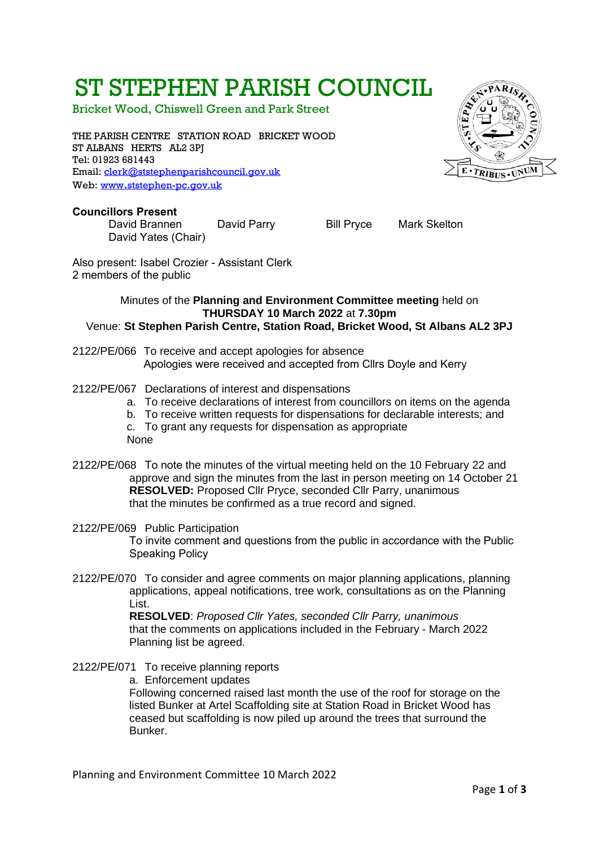# ST STEPHEN PARISH COUNCIL

Bricket Wood, Chiswell Green and Park Street

THE PARISH CENTRE STATION ROAD BRICKET WOOD ST ALBANS HERTS AL2 3PJ Tel: 01923 681443 Email: [clerk@ststephenparishcouncil.gov.uk](mailto:clerk@ststephenparishcouncil.gov.uk)  Web: www.[ststephen-pc.gov.uk](http://www.ststephen-pc.gov.uk/)



David Brannen David Parry Bill Pryce Mark Skelton David Yates (Chair)

Also present: Isabel Crozier - Assistant Clerk 2 members of the public

#### Minutes of the **Planning and Environment Committee meeting** held on **THURSDAY 10 March 2022** at **7.30pm** Venue: **St Stephen Parish Centre, Station Road, Bricket Wood, St Albans AL2 3PJ**

- 2122/PE/066 To receive and accept apologies for absence Apologies were received and accepted from Cllrs Doyle and Kerry
- 2122/PE/067 Declarations of interest and dispensations
	- a. To receive declarations of interest from councillors on items on the agenda
	- b. To receive written requests for dispensations for declarable interests; and
	- c. To grant any requests for dispensation as appropriate
	- None
- 2122/PE/068 To note the minutes of the virtual meeting held on the 10 February 22 and approve and sign the minutes from the last in person meeting on 14 October 21 **RESOLVED:** Proposed Cllr Pryce, seconded Cllr Parry, unanimous that the minutes be confirmed as a true record and signed.
- 2122/PE/069 Public Participation To invite comment and questions from the public in accordance with the Public Speaking Policy
- 2122/PE/070 To consider and agree comments on major planning applications, planning applications, appeal notifications, tree work, consultations as on the Planning List.

**RESOLVED**: *Proposed Cllr Yates, seconded Cllr Parry, unanimous* that the comments on applications included in the February - March 2022 Planning list be agreed.

- 2122/PE/071 To receive planning reports
	- a. Enforcement updates

Following concerned raised last month the use of the roof for storage on the listed Bunker at Artel Scaffolding site at Station Road in Bricket Wood has ceased but scaffolding is now piled up around the trees that surround the Bunker.

Planning and Environment Committee 10 March 2022

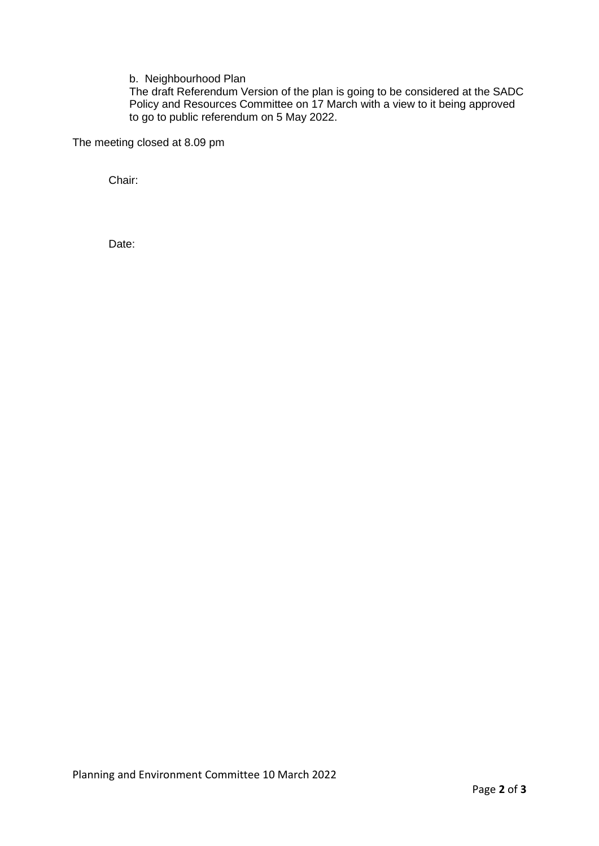b. Neighbourhood Plan

The draft Referendum Version of the plan is going to be considered at the SADC Policy and Resources Committee on 17 March with a view to it being approved to go to public referendum on 5 May 2022.

The meeting closed at 8.09 pm

Chair:

Date: